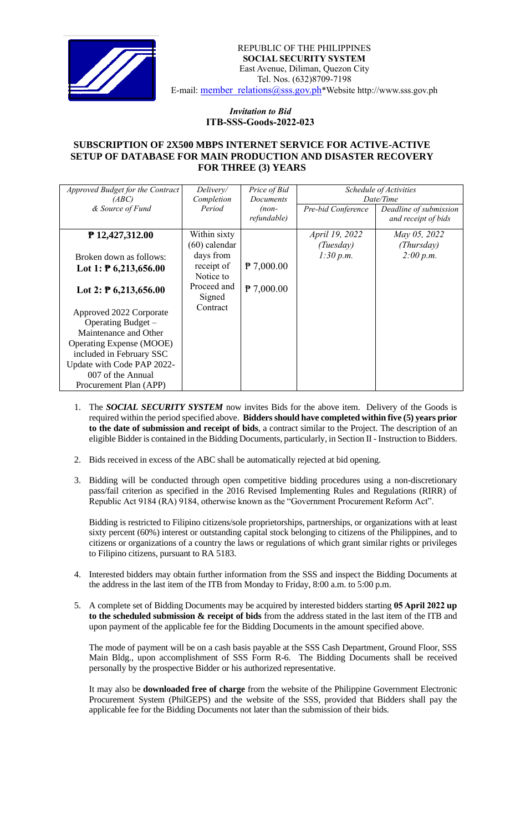

## *Invitation to Bid*  **ITB-SSS-Goods-2022-023**

## **SUBSCRIPTION OF 2X500 MBPS INTERNET SERVICE FOR ACTIVE-ACTIVE SETUP OF DATABASE FOR MAIN PRODUCTION AND DISASTER RECOVERY FOR THREE (3) YEARS**

| Approved Budget for the Contract<br>(ABC)<br>& Source of Fund | Delivery/<br>Completion<br>Period | Price of Bid<br>Documents<br>$(non-$ | Schedule of Activities<br>Date/Time<br>Pre-bid Conference<br>Deadline of submission |                     |
|---------------------------------------------------------------|-----------------------------------|--------------------------------------|-------------------------------------------------------------------------------------|---------------------|
|                                                               |                                   | refundable)                          |                                                                                     | and receipt of bids |
| ₱ 12,427,312.00                                               | Within sixty                      |                                      | April 19, 2022                                                                      | May 05, 2022        |
|                                                               | $(60)$ calendar                   |                                      | (Tuesday)                                                                           | (Thursday)          |
| Broken down as follows:                                       | days from                         |                                      | 1:30 p.m.                                                                           | 2:00 p.m.           |
| Lot 1: $\overline{P}$ 6,213,656.00                            | receipt of<br>Notice to           | $P$ 7,000.00                         |                                                                                     |                     |
| Lot 2: $\overline{P}$ 6,213,656.00                            | Proceed and<br>Signed             | $P$ 7,000.00                         |                                                                                     |                     |
| Approved 2022 Corporate                                       | Contract                          |                                      |                                                                                     |                     |
| Operating Budget -                                            |                                   |                                      |                                                                                     |                     |
| Maintenance and Other                                         |                                   |                                      |                                                                                     |                     |
| <b>Operating Expense (MOOE)</b>                               |                                   |                                      |                                                                                     |                     |
| included in February SSC                                      |                                   |                                      |                                                                                     |                     |
| Update with Code PAP 2022-                                    |                                   |                                      |                                                                                     |                     |
| 007 of the Annual                                             |                                   |                                      |                                                                                     |                     |
| Procurement Plan (APP)                                        |                                   |                                      |                                                                                     |                     |

- 1. The *SOCIAL SECURITY SYSTEM* now invites Bids for the above item. Delivery of the Goods is required within the period specified above. **Bidders should have completed within five (5) years prior to the date of submission and receipt of bids**, a contract similar to the Project. The description of an eligible Bidder is contained in the Bidding Documents, particularly, in Section II - Instruction to Bidders.
- 2. Bids received in excess of the ABC shall be automatically rejected at bid opening.
- 3. Bidding will be conducted through open competitive bidding procedures using a non-discretionary pass/fail criterion as specified in the 2016 Revised Implementing Rules and Regulations (RIRR) of Republic Act 9184 (RA) 9184, otherwise known as the "Government Procurement Reform Act".

Bidding is restricted to Filipino citizens/sole proprietorships, partnerships, or organizations with at least sixty percent (60%) interest or outstanding capital stock belonging to citizens of the Philippines, and to citizens or organizations of a country the laws or regulations of which grant similar rights or privileges to Filipino citizens, pursuant to RA 5183.

- 4. Interested bidders may obtain further information from the SSS and inspect the Bidding Documents at the address in the last item of the ITB from Monday to Friday, 8:00 a.m. to 5:00 p.m.
- 5. A complete set of Bidding Documents may be acquired by interested bidders starting **05 April 2022 up to the scheduled submission & receipt of bids** from the address stated in the last item of the ITB and upon payment of the applicable fee for the Bidding Documents in the amount specified above.

The mode of payment will be on a cash basis payable at the SSS Cash Department, Ground Floor, SSS Main Bldg., upon accomplishment of SSS Form R-6. The Bidding Documents shall be received personally by the prospective Bidder or his authorized representative.

It may also be **downloaded free of charge** from the website of the Philippine Government Electronic Procurement System (PhilGEPS) and the website of the SSS*,* provided that Bidders shall pay the applicable fee for the Bidding Documents not later than the submission of their bids.